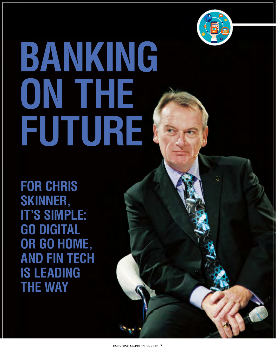

## **BANKING ON THE FUTURE**

**For Chris Skinner, It's Simple: Go Digital or Go Home, and Fin Tech Is Leading the Way**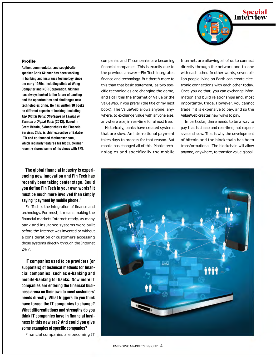

## Profile

**Author, commentator, and sought-after speaker Chris Skinner has been working in banking and insurance technology since the early 1980s, including stints at Wang Computer and NCR Corporation. Skinner has always looked to the future of banking and the opportunities and challenges new technologies bring. He has written 10 books on different aspects of banking, including The Digital Bank: Strategies to Launch or Become a Digital Bank (2013). Based in Great Britain, Skinner chairs the Financial Services Club, is chief executive of Balatro LTD and co-founded thefinanser.com, which regularly features his blogs. Skinner recently shared some of his views with EMI.**

**The global financial industry is experiencing new innovation and Fin Tech has recently been taking center stage. Could you define Fin Tech in your own words? It must be much more involved than simply saying "payment by mobile phone."**

Fin Tech is the integration of finance and technology. For most, it means making the financial markets Internet-ready, as many bank and insurance systems were built before the Internet was invented or without a consideration of customers accessing those systems directly through the Internet 24/7.

**IT companies used to be providers (or supporters) of technical methods for financial companies, such as e-banking and mobile-banking for banks. Now more IT companies are entering the financial business arena on their own to meet customers' needs directly. What triggers do you think have forced the IT companies to change? What differentiations and strengths do you think IT companies have in financial business in this new era? And could you give some examples of specific companies?** 

Financial companies are becoming IT

companies and IT companies are becoming financial companies. This is exactly due to the previous answer—Fin Tech integrates finance and technology. But there's more to this than that basic statement, as two specific technologies are changing the game, and I call this the Internet of Value or the ValueWeb, if you prefer (the title of my next book). The ValueWeb allows anyone, anywhere, to exchange value with anyone else, anywhere else, in real-time for almost free.

Historically, banks have created systems that are slow. An international payment takes days to process for that reason. But mobile has changed all of this. Mobile technologies and specifically the mobile Internet, are allowing all of us to connect directly through the network one-to-one with each other. In other words, seven billion people living on Earth can create electronic connections with each other today. Once you do that, you can exchange information and build relationships and, most importantly, trade. However, you cannot trade if it is expensive to pay, and so the ValueWeb creates new ways to pay.

In particular, there needs to be a way to pay that is cheap and real-time, not expensive and slow. That is why the development of bitcoin and the blockchain has been transformational. The blockchain will allow anyone, anywhere, to transfer value global-

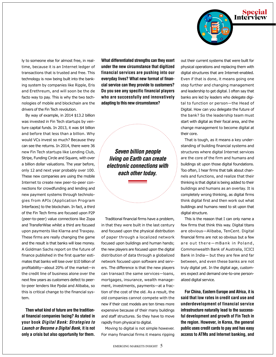

ly to someone else for almost free, in realtime, because it is an Internet ledger of transactions that is trusted and free. This technology is now being built into the banking system by companies like Ripple, Eris and Erethreum, and will soon be the de facto way to pay. This is why the two technologies of mobile and blockchain are the drivers of the Fin Tech revolution.

By way of example, in 2014 \$13.2 billion was invested in Fin Tech startups by venture capital funds. In 2013, it was \$4 billion and before that less than a billion. Why would VCs invest so much? Because they can see the returns. In 2014, there were 36 new Fin Tech startups like Lending Club, Stripe, Funding Circle and Square, with over a billion dollar valuations. The year before, only 12 and next year probably over 100. These new companies are using the mobile Internet to create new peer-to-peer connections for crowdfunding and lending and new payment systems through technologies from APIs (Application Program Interfaces) to the blockchain. In fact, a third of the Fin Tech firms are focused upon P2P (peer-to-peer) value connections like Zopa and TransferWise whilst a third are focused upon payments like Klarna and Traxpay. These firms are really changing the game and the result is that banks will lose money. A Goldman Sachs report on the future of finance published in the first quarter estimates that banks will lose over \$10 billion of profitability—about 20% of the market—in the credit line of business alone over the next few years as customers defect to peerto-peer lenders like Ppdai and Alibaba, so this is critical change to the financial system.

**Then what kind of future are the traditional financial companies facing? As stated in your book** *Digital Bank: Strategies to Launch or Become a Digital Bank***, it is not only a crisis but also opportunity for them.** 

**What differentiated strengths can they exert under the new circumstance that digitized financial services are pushing into our everyday lives? What new format of financial service can they provide to customers? Do you see any specific financial players who are successfully and innovatively adapting to this new circumstance?**

*Seven billion people living on Earth can create electronic connections with each other today.*

Traditional financial firms have a problem, in that they were built in the last century and focused upon the physical distribution of paper through a localized network focused upon buildings and human hands; the new players are focused upon the digital distribution of data through a globalized network focused upon software and servers. The difference is that the new players can transact the same services—loans, mortgages, insurance, wealth management, investments, payments—at a fraction of the cost of the old. As a result, the old companies cannot compete with the new if their cost models are ten times more expensive because of their many buildings and staff structures. So they have to move rapidly from physical to digital.

Moving to digital is not simple however. For many financial firms it means ripping out their current systems that were built for physical operations and replacing them with digital structures that are Internet-enabled. Even if that is done, it means going one step further and changing management and leadership to get digital. I often say that banks are led by leaders who delegate digital to function or person—the Head of Digital. How can you delegate the future of the bank? So the leadership team must start with digital as their focal area, and the change management to become digital at their core.

That is tough, as it means a key understanding of building financial systems and structures where digital Internet services are the core of the firm and humans and buildings sit upon those digital foundations. Too often, I hear firms that talk about channels and functions, and realize that their thinking is that digital is being added to their buildings and humans as an overlay. It is completely wrong thinking, as digital firms think digital first and then work out what buildings and humans need to sit upon that digital structure.

This is the reason that I can only name a few firms that think this way. Digital titans are obvious—Alibaba, TenCent. Digital financial firms are not so obvious but a few are out there-mBank in Poland, Commonwealth Bank of Australia, ICICI Bank in India— but they are few and far between, and even these banks are not truly digital yet. In the digital age, customers expect and demand one-to-one personalized digital service.

**For China, Eastern Europe and Africa, it is said that low rates in credit card use and underdevelopment of financial service infrastructure naturally lead to the successful development and growth of Fin Tech in the region. However, in Korea, the general public uses credit cards to pay and has easy access to ATMs and Internet banking, and**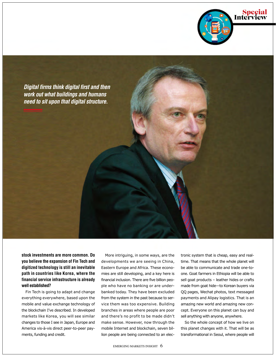



**stock investments are more common. Do you believe the expansion of Fin Tech and digitized technology is still an inevitable path in countries like Korea, where the financial service infrastructure is already well established?** 

Fin Tech is going to adapt and change everything everywhere, based upon the mobile and value exchange technology of the blockchain I've described. In developed markets like Korea, you will see similar changes to those I see in Japan, Europe and America vis-à-vis direct peer-to-peer payments, funding and credit.

More intriguing, in some ways, are the developments we are seeing in China, Eastern Europe and Africa. These economies are still developing, and a key here is financial inclusion. There are five billion people who have no banking or are underbanked today. They have been excluded from the system in the past because to service them was too expensive. Building branches in areas where people are poor and there's no profit to be made didn't make sense. However, now through the mobile Internet and blockchain, seven billion people are being connected to an elec-

tronic system that is cheap, easy and realtime. That means that the whole planet will be able to communicate and trade one-toone. Goat farmers in Ethiopia will be able to sell goat products – leather hides or crafts made from goat hide—to Korean buyers via QQ pages, Wechat photos, text messaged payments and Alipay logistics. That is an amazing new world and amazing new concept. Everyone on this planet can buy and sell anything with anyone, anywhere.

So the whole concept of how we live on this planet changes with it. That will be as transformational in Seoul, where people will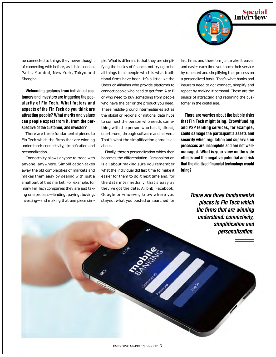

be connected to things they never thought of connecting with before, as it is in London, Paris, Mumbai, New York, Tokyo and Shanghai.

**Welcoming gestures from individual customers and investors are triggering the popularity of Fin Tech. What factors and aspects of the Fin Tech do you think are attracting people? What merits and values can people expect from it, from the perspective of the customer, and investor?**

There are three fundamental pieces to Fin Tech which the firms that are winning understand: connectivity, simplification and personalization.

Connectivity allows anyone to trade with anyone, anywhere. Simplification takes away the old complexities of markets and makes them easy by dealing with just a small part of that market. For example, for many Fin Tech companies they are just taking one process—lending, paying, buying, investing—and making that one piece simple. What is different is that they are simplifying the basics of finance, not trying to be all things to all people which is what traditional firms have been. It's a little like the Ubers or Alibabas who provide platforms to connect people who need to get from A to B or who need to buy something from people who have the car or the product you need. These middle-ground intermediaries act as the global or regional or national data hubs to connect the person who needs something with the person who has it, direct, one-to-one, through software and servers. That's what the simplification game is all about.

Finally, there's personalization which then becomes the differentiation. Personalization is all about making sure you remember what the individual did last time to make it easier for them to do it next time and, for the data intermediary, that's easy as they've got the data. Airbnb, Facebook, Google or whoever, know where you stayed, what you posted or searched for

last time, and therefore just make it easier and easier each time you touch their service by repeated and simplifying that process on a personalized basis. That's what banks and insurers need to do: connect, simplify and repeat by making it personal. These are the basics of attracting and retaining the customer in the digital age.

**There are worries about the bubble risks that Fin Tech might bring. Crowdfunding and P2P lending services, for example, could damage the participant's assets and security when regulation and supervision processes are incomplete and are not wellmanaged. What is your view on the side effects and the negative potential and risk that the digitized financial technology would bring?**

> *There are three fundamental pieces to Fin Tech which the firms that are winning understand: connectivity, simplification and personalization.*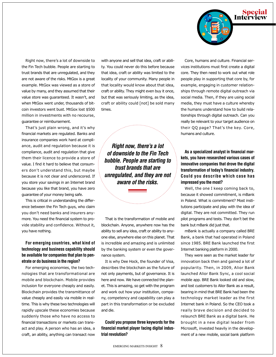

Right now, there's a lot of downside to the Fin Tech bubble. People are starting to trust brands that are unregulated, and they are not aware of the risks. MtGox is a great example. MtGox was viewed as a store of value by many, and they assumed that their value store was guaranteed. It wasn't, and when MtGox went under, thousands of bitcoin investors went bust. MtGox lost \$500 million in investments with no recourse, guarantee or reimbursement.

That's just plain wrong, and it's why financial markets are regulated. Banks and insurance companies work hard at compliance, audit and regulation because it is compliance, audit and regulation that give them their licence to provide a store of value. I find it hard to believe that consumers don't understand this, but maybe because it is not clear and underscored. If you store your savings in an Internet brand because you like that brand, you have zero guarantee of your money being safe.

This is critical in understanding the difference between the Fin Tech guys, who claim you don't need banks and insurers anymore. You need the financial system to provide stability and confidence. Without it, you have nothing.

## **For emerging countries, what kind of technology and business capability should be available for companies that plan to penetrate or do business in the region?**

For emerging economies, the two technologies that are transformational are mobile and blockchain. Mobile provides inclusion for everyone cheaply and easily. Blockchain provides the transmittance of value cheaply and easily via mobile in realtime. This is why these two technologies will rapidly upscale these economies because suddenly those who have no access to financial transactions or markets can transact and play. A person who has an idea, a craft, an ability, anything can transact now

with anyone and sell that idea, craft or ability. You could never do this before because that idea, craft or ability was limited to the locality of your community. Many people in that locality would know about that idea, craft or ability. They might even buy it once, but that was seriously limiting, as the idea, craft or ability could [not] be sold many times.

*Right now, there's a lot of downside to the Fin Tech bubble. People are starting to trust brands that are unregulated, and they are not aware of the risks.*

That is the transformation of mobile and blockchain. Anyone, anywhere now has the ability to sell any idea, craft or ability to anyone else, anywhere else on this planet. That is incredible and amazing and is unlimited by the banking system or even the governance system.

It is why Dee Hock, the founder of Visa, describes the blockchain as the future of not only payments, but of governance. It is here and now. We have connected the planet. This is amazing, so get with the program and work out how your institution, company, competency and capability can play a part in this transformation or be excluded and die.

**Could you propose three keywords for the financial market player facing digital industrial revolution?** 

Core, humans and culture. Financial services institutions must first create a digital core. They then need to work out what role people play in supporting that core by, for example, engaging in customer relationships through remote digital outreach via social media. Then, if they are using social media, they must have a culture whereby the humans understand how to build relationships through digital outreach. Can you really be relevant to your target audience on their QQ page? That's the key. Core, humans and culture.

**As a specialized analyst in financial markets, you have researched various cases of innovative companies that drove the digital transformation of today's financial industry. Could you describe which case has impressed you the most?**

Well, the one I keep coming back to, because it showed commitment, is mBank in Poland. What is commitment? Most institutions participate and play with the idea of digital. They are not committed. They run pilot programs and tests. They don't bet the bank but mBank did just that.

mBank is actually a company called BRE Bank, a bank that had operated in Poland since 1985. BRE Bank launched the first Internet banking platform in 2000.

They were seen as the market leader for innovation back then and gained a lot of popularity. Then, in 2009, Alior Bank launched Alior Bank Sync, a cool social mobile app. BRE Bank looked old and slow, and lost customers to Alior Bank as a result, bearing in mind that BRE Bank had been the technology market leader as the first Internet bank in Poland. So the CEO took a really brave decision and decided to relaunch BRE Bank as a digital bank. He brought in a new digital leader from Microsoft, invested heavily in the development of a new mobile, social bank platform